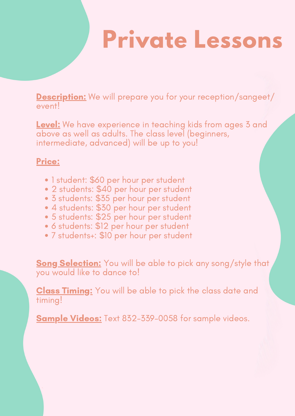## **Private Lessons**

Description: We will prepare you for your reception/sangeet/ event!

Level: We have experience in teaching kids from ages 3 and above as well as adults. The class level (beginners, intermediate, advanced) will be up to you!

## Price:

- 1 student: \$60 per hour per student
- 2 students: \$40 per hour per student
- 3 students: \$35 per hour per student
- 4 students: \$30 per hour per student
- 5 students: \$25 per hour per student
- 6 students: \$12 per hour per student
- 7 students+: \$10 per hour per student

Song Selection: You will be able to pick any song/style that you would like to dance to!

Class Timing: You will be able to pick the class date and timing!

Sample Videos: Text 832-339-0058 for sample videos.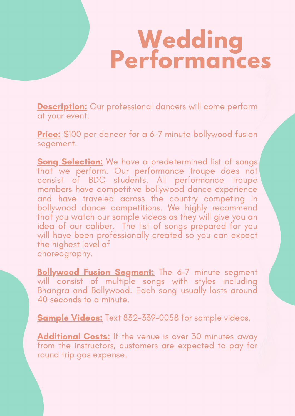## **Wedding Performances**

**Description:** Our professional dancers will come perform at your event.

Price: \$100 per dancer for a 6-7 minute bollywood fusion segement.

Song Selection: We have a predetermined list of songs that we perform. Our performance troupe does not consist of BDC students. All performance troupe members have competitive bollywood dance experience and have traveled across the country competing in bollywood dance competitions. We highly recommend that you watch our sample videos as they will give you an idea of our caliber. The list of songs prepared for you will have been professionally created so you can expect the highest level of choreography.

**Bollywood Fusion Segment:** The 6-7 minute segment will consist of multiple songs with styles including Bhangra and Bollywood. Each song usually lasts around 40 seconds to a minute.

Sample Videos: Text 832-339-0058 for sample videos.

Additional Costs: If the venue is over 30 minutes away from the instructors, customers are expected to pay for round trip gas expense.